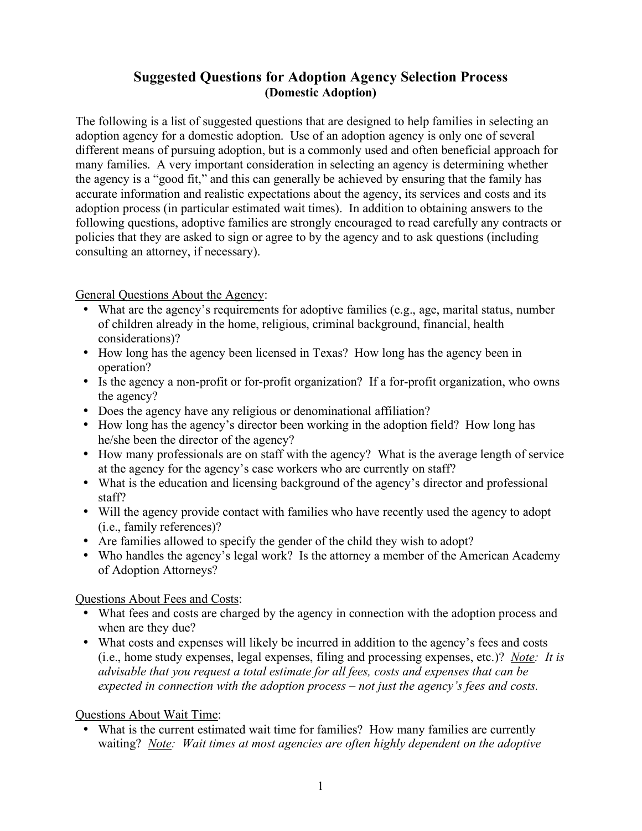## **Suggested Questions for Adoption Agency Selection Process (Domestic Adoption)**

The following is a list of suggested questions that are designed to help families in selecting an adoption agency for a domestic adoption. Use of an adoption agency is only one of several different means of pursuing adoption, but is a commonly used and often beneficial approach for many families. A very important consideration in selecting an agency is determining whether the agency is a "good fit," and this can generally be achieved by ensuring that the family has accurate information and realistic expectations about the agency, its services and costs and its adoption process (in particular estimated wait times). In addition to obtaining answers to the following questions, adoptive families are strongly encouraged to read carefully any contracts or policies that they are asked to sign or agree to by the agency and to ask questions (including consulting an attorney, if necessary).

General Questions About the Agency:

- What are the agency's requirements for adoptive families (e.g., age, marital status, number of children already in the home, religious, criminal background, financial, health considerations)?
- How long has the agency been licensed in Texas? How long has the agency been in operation?
- Is the agency a non-profit or for-profit organization? If a for-profit organization, who owns the agency?
- Does the agency have any religious or denominational affiliation?
- How long has the agency's director been working in the adoption field? How long has he/she been the director of the agency?
- How many professionals are on staff with the agency? What is the average length of service at the agency for the agency's case workers who are currently on staff?
- What is the education and licensing background of the agency's director and professional staff?
- Will the agency provide contact with families who have recently used the agency to adopt (i.e., family references)?
- Are families allowed to specify the gender of the child they wish to adopt?
- Who handles the agency's legal work? Is the attorney a member of the American Academy of Adoption Attorneys?

Questions About Fees and Costs:

- What fees and costs are charged by the agency in connection with the adoption process and when are they due?
- What costs and expenses will likely be incurred in addition to the agency's fees and costs (i.e., home study expenses, legal expenses, filing and processing expenses, etc.)? *Note: It is advisable that you request a total estimate for all fees, costs and expenses that can be expected in connection with the adoption process – not just the agency's fees and costs.*

Questions About Wait Time:

What is the current estimated wait time for families? How many families are currently waiting? *Note: Wait times at most agencies are often highly dependent on the adoptive*